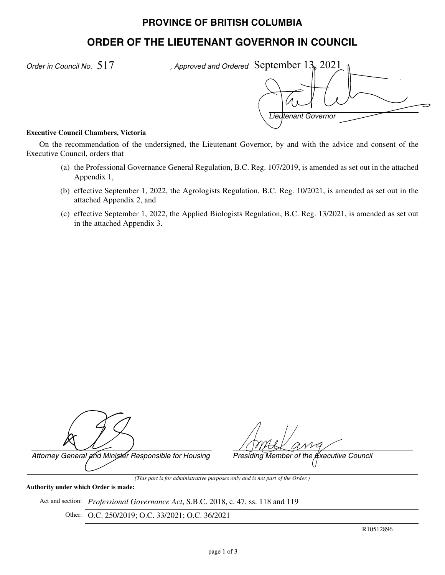## **PROVINCE OF BRITISH COLUMBIA**

# **ORDER OF THE LIEUTENANT GOVERNOR IN COUNCIL**

*Order in Council No.* 517

*Lieutenant Governor* , Approved and Ordered September  $13_k$ ,  $2021$ 

#### **Executive Council Chambers, Victoria**

On the recommendation of the undersigned, the Lieutenant Governor, by and with the advice and consent of the Executive Council, orders that

- (a) the Professional Governance General Regulation, B.C. Reg. 107/2019, is amended as set out in the attached Appendix 1,
- (b) effective September 1, 2022, the Agrologists Regulation, B.C. Reg. 10/2021, is amended as set out in the attached Appendix 2, and
- (c) effective September 1, 2022, the Applied Biologists Regulation, B.C. Reg. 13/2021, is amended as set out in the attached Appendix 3.

*Attorney General and Minister Responsible for Housing Presiding Member of the Executive Council*

#### **Authority under which Order is made:**

Act and section: *Professional Governance Act*, S.B.C. 2018, c. 47, ss. 118 and 119

Other: O.C. 250/2019; O.C. 33/2021; O.C. 36/2021

*(This part is for administrative purposes only and is not part of the Order.)*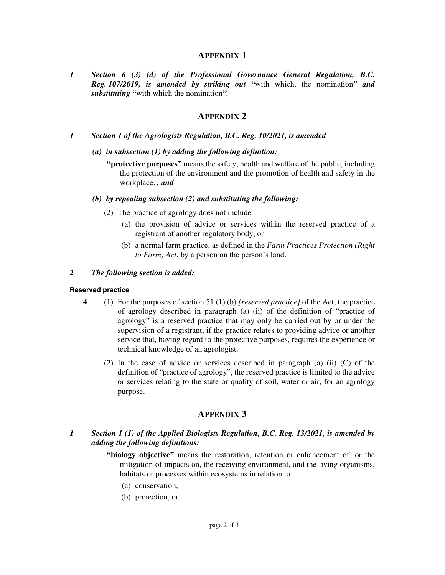## **APPENDIX 1**

*1 Section 6 (3) (d) of the Professional Governance General Regulation, B.C. Reg. 107/2019, is amended by striking out "*with which, the nomination*" and substituting "*with which the nomination*".*

## **APPENDIX 2**

- *1 Section 1 of the Agrologists Regulation, B.C. Reg. 10/2021, is amended*
	- *(a) in subsection (1) by adding the following definition:*
		- **"protective purposes"** means the safety, health and welfare of the public, including the protection of the environment and the promotion of health and safety in the workplace. *, and*

#### *(b) by repealing subsection (2) and substituting the following:*

- (2) The practice of agrology does not include
	- (a) the provision of advice or services within the reserved practice of a registrant of another regulatory body, or
	- (b) a normal farm practice, as defined in the *Farm Practices Protection (Right to Farm) Act*, by a person on the person's land.

#### *2 The following section is added:*

#### **Reserved practice**

- **4** (1) For the purposes of section 51 (1) (b) *[reserved practice]* of the Act, the practice of agrology described in paragraph (a) (ii) of the definition of "practice of agrology" is a reserved practice that may only be carried out by or under the supervision of a registrant, if the practice relates to providing advice or another service that, having regard to the protective purposes, requires the experience or technical knowledge of an agrologist.
	- (2) In the case of advice or services described in paragraph (a) (ii) (C) of the definition of "practice of agrology", the reserved practice is limited to the advice or services relating to the state or quality of soil, water or air, for an agrology purpose.

## **APPENDIX 3**

- *1 Section 1 (1) of the Applied Biologists Regulation, B.C. Reg. 13/2021, is amended by adding the following definitions:*
	- **"biology objective"** means the restoration, retention or enhancement of, or the mitigation of impacts on, the receiving environment, and the living organisms, habitats or processes within ecosystems in relation to
		- (a) conservation,
		- (b) protection, or